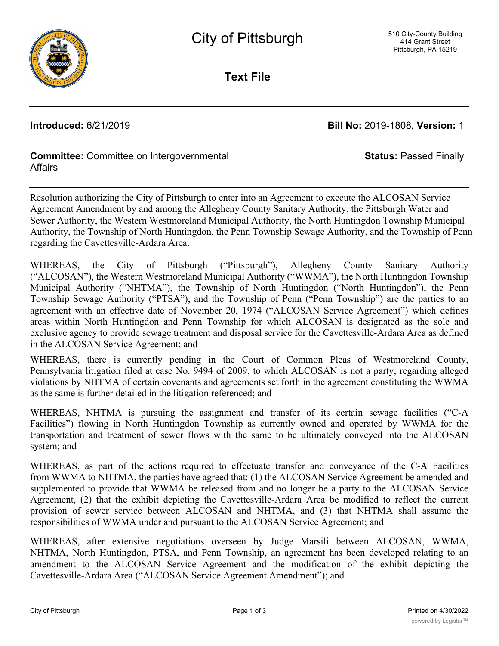

**Text File**

**Introduced:** 6/21/2019 **Bill No:** 2019-1808, **Version:** 1

**Status:** Passed Finally

# **Committee:** Committee on Intergovernmental **Affairs**

Resolution authorizing the City of Pittsburgh to enter into an Agreement to execute the ALCOSAN Service Agreement Amendment by and among the Allegheny County Sanitary Authority, the Pittsburgh Water and Sewer Authority, the Western Westmoreland Municipal Authority, the North Huntingdon Township Municipal Authority, the Township of North Huntingdon, the Penn Township Sewage Authority, and the Township of Penn regarding the Cavettesville-Ardara Area.

WHEREAS, the City of Pittsburgh ("Pittsburgh"), Allegheny County Sanitary Authority ("ALCOSAN"), the Western Westmoreland Municipal Authority ("WWMA"), the North Huntingdon Township Municipal Authority ("NHTMA"), the Township of North Huntingdon ("North Huntingdon"), the Penn Township Sewage Authority ("PTSA"), and the Township of Penn ("Penn Township") are the parties to an agreement with an effective date of November 20, 1974 ("ALCOSAN Service Agreement") which defines areas within North Huntingdon and Penn Township for which ALCOSAN is designated as the sole and exclusive agency to provide sewage treatment and disposal service for the Cavettesville-Ardara Area as defined in the ALCOSAN Service Agreement; and

WHEREAS, there is currently pending in the Court of Common Pleas of Westmoreland County, Pennsylvania litigation filed at case No. 9494 of 2009, to which ALCOSAN is not a party, regarding alleged violations by NHTMA of certain covenants and agreements set forth in the agreement constituting the WWMA as the same is further detailed in the litigation referenced; and

WHEREAS, NHTMA is pursuing the assignment and transfer of its certain sewage facilities ("C-A Facilities") flowing in North Huntingdon Township as currently owned and operated by WWMA for the transportation and treatment of sewer flows with the same to be ultimately conveyed into the ALCOSAN system; and

WHEREAS, as part of the actions required to effectuate transfer and conveyance of the C-A Facilities from WWMA to NHTMA, the parties have agreed that: (1) the ALCOSAN Service Agreement be amended and supplemented to provide that WWMA be released from and no longer be a party to the ALCOSAN Service Agreement, (2) that the exhibit depicting the Cavettesville-Ardara Area be modified to reflect the current provision of sewer service between ALCOSAN and NHTMA, and (3) that NHTMA shall assume the responsibilities of WWMA under and pursuant to the ALCOSAN Service Agreement; and

WHEREAS, after extensive negotiations overseen by Judge Marsili between ALCOSAN, WWMA, NHTMA, North Huntingdon, PTSA, and Penn Township, an agreement has been developed relating to an amendment to the ALCOSAN Service Agreement and the modification of the exhibit depicting the Cavettesville-Ardara Area ("ALCOSAN Service Agreement Amendment"); and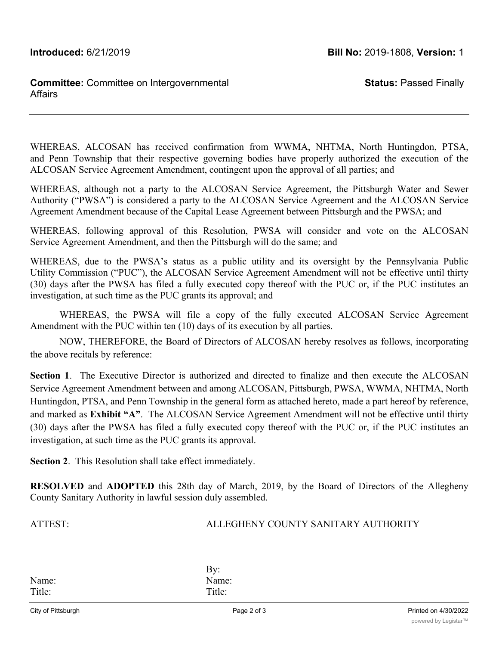**Introduced:** 6/21/2019 **Bill No:** 2019-1808, **Version:** 1

## **Committee:** Committee on Intergovernmental **Affairs**

**Status:** Passed Finally

WHEREAS, ALCOSAN has received confirmation from WWMA, NHTMA, North Huntingdon, PTSA, and Penn Township that their respective governing bodies have properly authorized the execution of the ALCOSAN Service Agreement Amendment, contingent upon the approval of all parties; and

WHEREAS, although not a party to the ALCOSAN Service Agreement, the Pittsburgh Water and Sewer Authority ("PWSA") is considered a party to the ALCOSAN Service Agreement and the ALCOSAN Service Agreement Amendment because of the Capital Lease Agreement between Pittsburgh and the PWSA; and

WHEREAS, following approval of this Resolution, PWSA will consider and vote on the ALCOSAN Service Agreement Amendment, and then the Pittsburgh will do the same; and

WHEREAS, due to the PWSA's status as a public utility and its oversight by the Pennsylvania Public Utility Commission ("PUC"), the ALCOSAN Service Agreement Amendment will not be effective until thirty (30) days after the PWSA has filed a fully executed copy thereof with the PUC or, if the PUC institutes an investigation, at such time as the PUC grants its approval; and

WHEREAS, the PWSA will file a copy of the fully executed ALCOSAN Service Agreement Amendment with the PUC within ten (10) days of its execution by all parties.

NOW, THEREFORE, the Board of Directors of ALCOSAN hereby resolves as follows, incorporating the above recitals by reference:

**Section 1**. The Executive Director is authorized and directed to finalize and then execute the ALCOSAN Service Agreement Amendment between and among ALCOSAN, Pittsburgh, PWSA, WWMA, NHTMA, North Huntingdon, PTSA, and Penn Township in the general form as attached hereto, made a part hereof by reference, and marked as **Exhibit "A"**. The ALCOSAN Service Agreement Amendment will not be effective until thirty (30) days after the PWSA has filed a fully executed copy thereof with the PUC or, if the PUC institutes an investigation, at such time as the PUC grants its approval.

**Section 2**. This Resolution shall take effect immediately.

**RESOLVED** and **ADOPTED** this 28th day of March, 2019, by the Board of Directors of the Allegheny County Sanitary Authority in lawful session duly assembled.

## ATTEST: ALLEGHENY COUNTY SANITARY AUTHORITY

Name: Name: Title: Title:

By: